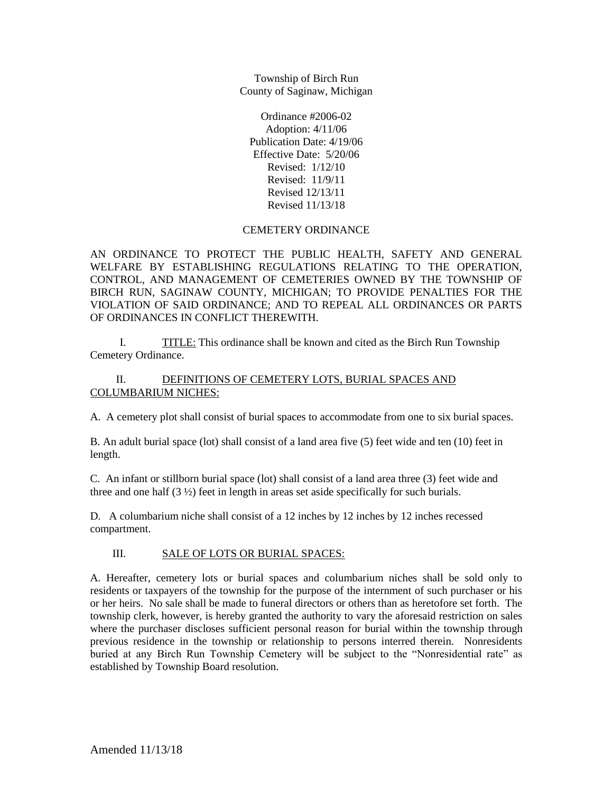Township of Birch Run County of Saginaw, Michigan

Ordinance #2006-02 Adoption: 4/11/06 Publication Date: 4/19/06 Effective Date:5/20/06 Revised: 1/12/10 Revised: 11/9/11 Revised 12/13/11 Revised 11/13/18

## CEMETERY ORDINANCE

AN ORDINANCE TO PROTECT THE PUBLIC HEALTH, SAFETY AND GENERAL WELFARE BY ESTABLISHING REGULATIONS RELATING TO THE OPERATION, CONTROL, AND MANAGEMENT OF CEMETERIES OWNED BY THE TOWNSHIP OF BIRCH RUN, SAGINAW COUNTY, MICHIGAN; TO PROVIDE PENALTIES FOR THE VIOLATION OF SAID ORDINANCE; AND TO REPEAL ALL ORDINANCES OR PARTS OF ORDINANCES IN CONFLICT THEREWITH.

I. TITLE: This ordinance shall be known and cited as the Birch Run Township Cemetery Ordinance.

## II. DEFINITIONS OF CEMETERY LOTS, BURIAL SPACES AND COLUMBARIUM NICHES:

A. A cemetery plot shall consist of burial spaces to accommodate from one to six burial spaces.

B. An adult burial space (lot) shall consist of a land area five (5) feet wide and ten (10) feet in length.

C. An infant or stillborn burial space (lot) shall consist of a land area three (3) feet wide and three and one half  $(3 \frac{1}{2})$  feet in length in areas set aside specifically for such burials.

D. A columbarium niche shall consist of a 12 inches by 12 inches by 12 inches recessed compartment.

## III. SALE OF LOTS OR BURIAL SPACES:

A. Hereafter, cemetery lots or burial spaces and columbarium niches shall be sold only to residents or taxpayers of the township for the purpose of the internment of such purchaser or his or her heirs. No sale shall be made to funeral directors or others than as heretofore set forth. The township clerk, however, is hereby granted the authority to vary the aforesaid restriction on sales where the purchaser discloses sufficient personal reason for burial within the township through previous residence in the township or relationship to persons interred therein. Nonresidents buried at any Birch Run Township Cemetery will be subject to the "Nonresidential rate" as established by Township Board resolution.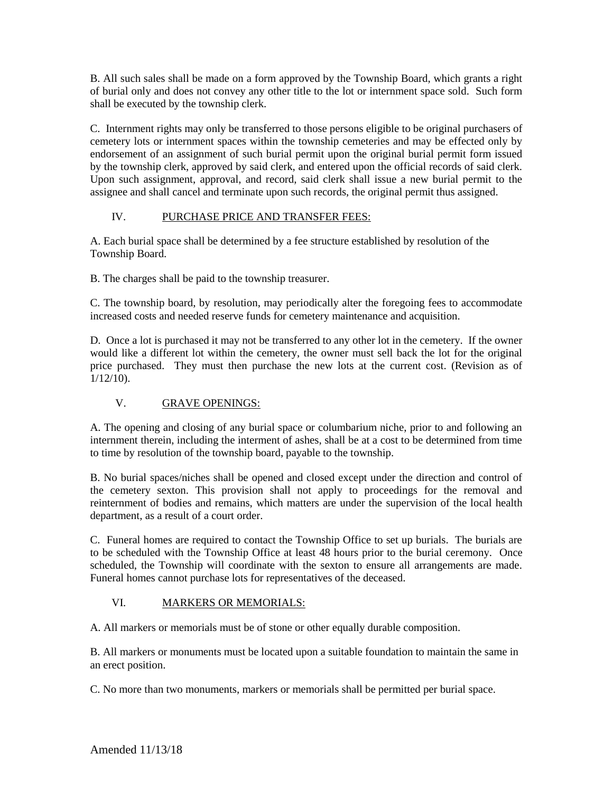B. All such sales shall be made on a form approved by the Township Board, which grants a right of burial only and does not convey any other title to the lot or internment space sold. Such form shall be executed by the township clerk.

C. Internment rights may only be transferred to those persons eligible to be original purchasers of cemetery lots or internment spaces within the township cemeteries and may be effected only by endorsement of an assignment of such burial permit upon the original burial permit form issued by the township clerk, approved by said clerk, and entered upon the official records of said clerk. Upon such assignment, approval, and record, said clerk shall issue a new burial permit to the assignee and shall cancel and terminate upon such records, the original permit thus assigned.

# IV. PURCHASE PRICE AND TRANSFER FEES:

A. Each burial space shall be determined by a fee structure established by resolution of the Township Board.

B. The charges shall be paid to the township treasurer.

C. The township board, by resolution, may periodically alter the foregoing fees to accommodate increased costs and needed reserve funds for cemetery maintenance and acquisition.

D. Once a lot is purchased it may not be transferred to any other lot in the cemetery. If the owner would like a different lot within the cemetery, the owner must sell back the lot for the original price purchased. They must then purchase the new lots at the current cost. (Revision as of 1/12/10).

# V. GRAVE OPENINGS:

A. The opening and closing of any burial space or columbarium niche, prior to and following an internment therein, including the interment of ashes, shall be at a cost to be determined from time to time by resolution of the township board, payable to the township.

B. No burial spaces/niches shall be opened and closed except under the direction and control of the cemetery sexton. This provision shall not apply to proceedings for the removal and reinternment of bodies and remains, which matters are under the supervision of the local health department, as a result of a court order.

C. Funeral homes are required to contact the Township Office to set up burials. The burials are to be scheduled with the Township Office at least 48 hours prior to the burial ceremony. Once scheduled, the Township will coordinate with the sexton to ensure all arrangements are made. Funeral homes cannot purchase lots for representatives of the deceased.

# VI. MARKERS OR MEMORIALS:

A. All markers or memorials must be of stone or other equally durable composition.

B. All markers or monuments must be located upon a suitable foundation to maintain the same in an erect position.

C. No more than two monuments, markers or memorials shall be permitted per burial space.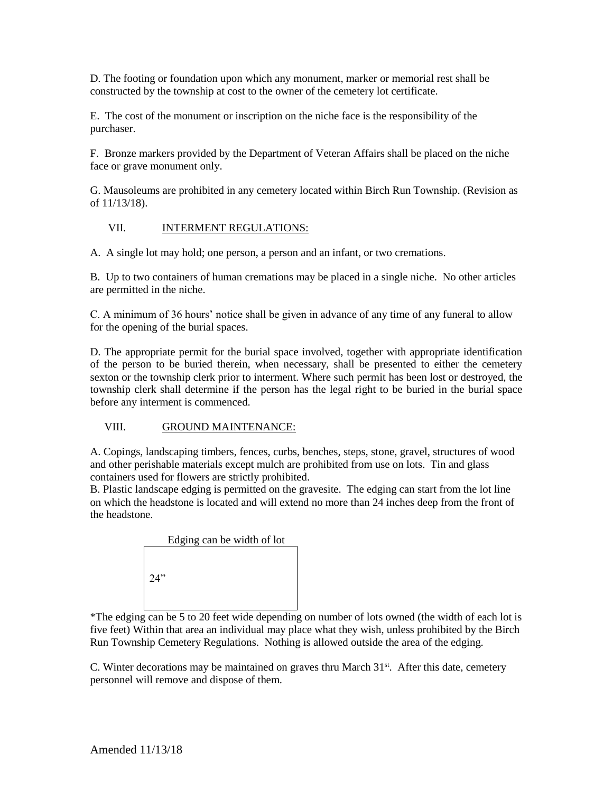D. The footing or foundation upon which any monument, marker or memorial rest shall be constructed by the township at cost to the owner of the cemetery lot certificate.

E. The cost of the monument or inscription on the niche face is the responsibility of the purchaser.

F. Bronze markers provided by the Department of Veteran Affairs shall be placed on the niche face or grave monument only.

G. Mausoleums are prohibited in any cemetery located within Birch Run Township. (Revision as of 11/13/18).

## VII. INTERMENT REGULATIONS:

A. A single lot may hold; one person, a person and an infant, or two cremations.

B. Up to two containers of human cremations may be placed in a single niche. No other articles are permitted in the niche.

C. A minimum of 36 hours' notice shall be given in advance of any time of any funeral to allow for the opening of the burial spaces.

D. The appropriate permit for the burial space involved, together with appropriate identification of the person to be buried therein, when necessary, shall be presented to either the cemetery sexton or the township clerk prior to interment. Where such permit has been lost or destroyed, the township clerk shall determine if the person has the legal right to be buried in the burial space before any interment is commenced.

#### VIII. GROUND MAINTENANCE:

A. Copings, landscaping timbers, fences, curbs, benches, steps, stone, gravel, structures of wood and other perishable materials except mulch are prohibited from use on lots. Tin and glass containers used for flowers are strictly prohibited.

B. Plastic landscape edging is permitted on the gravesite. The edging can start from the lot line on which the headstone is located and will extend no more than 24 inches deep from the front of the headstone.



\*The edging can be 5 to 20 feet wide depending on number of lots owned (the width of each lot is five feet) Within that area an individual may place what they wish, unless prohibited by the Birch Run Township Cemetery Regulations. Nothing is allowed outside the area of the edging.

C. Winter decorations may be maintained on graves thru March  $31<sup>st</sup>$ . After this date, cemetery personnel will remove and dispose of them.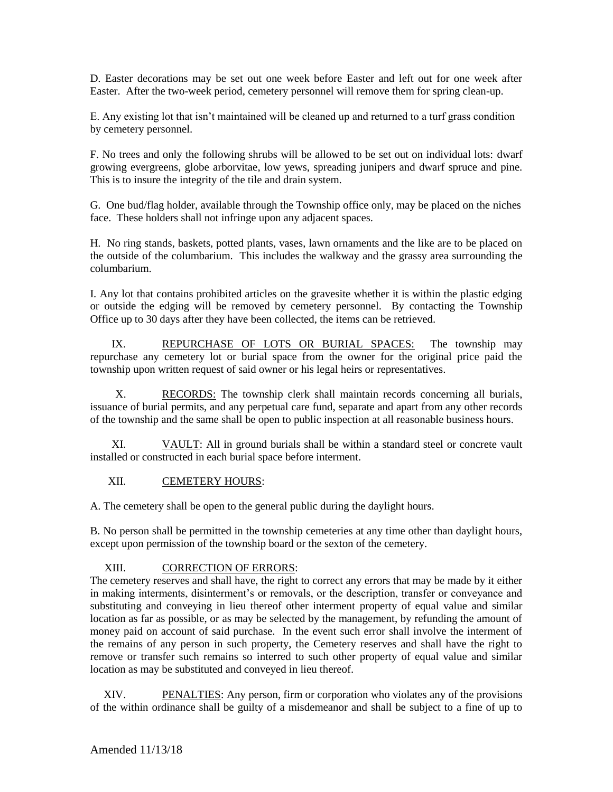D. Easter decorations may be set out one week before Easter and left out for one week after Easter. After the two-week period, cemetery personnel will remove them for spring clean-up.

E. Any existing lot that isn't maintained will be cleaned up and returned to a turf grass condition by cemetery personnel.

F. No trees and only the following shrubs will be allowed to be set out on individual lots: dwarf growing evergreens, globe arborvitae, low yews, spreading junipers and dwarf spruce and pine. This is to insure the integrity of the tile and drain system.

G. One bud/flag holder, available through the Township office only, may be placed on the niches face. These holders shall not infringe upon any adjacent spaces.

H. No ring stands, baskets, potted plants, vases, lawn ornaments and the like are to be placed on the outside of the columbarium. This includes the walkway and the grassy area surrounding the columbarium.

I. Any lot that contains prohibited articles on the gravesite whether it is within the plastic edging or outside the edging will be removed by cemetery personnel. By contacting the Township Office up to 30 days after they have been collected, the items can be retrieved.

IX. REPURCHASE OF LOTS OR BURIAL SPACES: The township may repurchase any cemetery lot or burial space from the owner for the original price paid the township upon written request of said owner or his legal heirs or representatives.

X. RECORDS: The township clerk shall maintain records concerning all burials, issuance of burial permits, and any perpetual care fund, separate and apart from any other records of the township and the same shall be open to public inspection at all reasonable business hours.

XI. VAULT: All in ground burials shall be within a standard steel or concrete vault installed or constructed in each burial space before interment.

## XII. CEMETERY HOURS:

A. The cemetery shall be open to the general public during the daylight hours.

B. No person shall be permitted in the township cemeteries at any time other than daylight hours, except upon permission of the township board or the sexton of the cemetery.

## XIII. CORRECTION OF ERRORS:

The cemetery reserves and shall have, the right to correct any errors that may be made by it either in making interments, disinterment's or removals, or the description, transfer or conveyance and substituting and conveying in lieu thereof other interment property of equal value and similar location as far as possible, or as may be selected by the management, by refunding the amount of money paid on account of said purchase. In the event such error shall involve the interment of the remains of any person in such property, the Cemetery reserves and shall have the right to remove or transfer such remains so interred to such other property of equal value and similar location as may be substituted and conveyed in lieu thereof.

XIV. PENALTIES: Any person, firm or corporation who violates any of the provisions of the within ordinance shall be guilty of a misdemeanor and shall be subject to a fine of up to